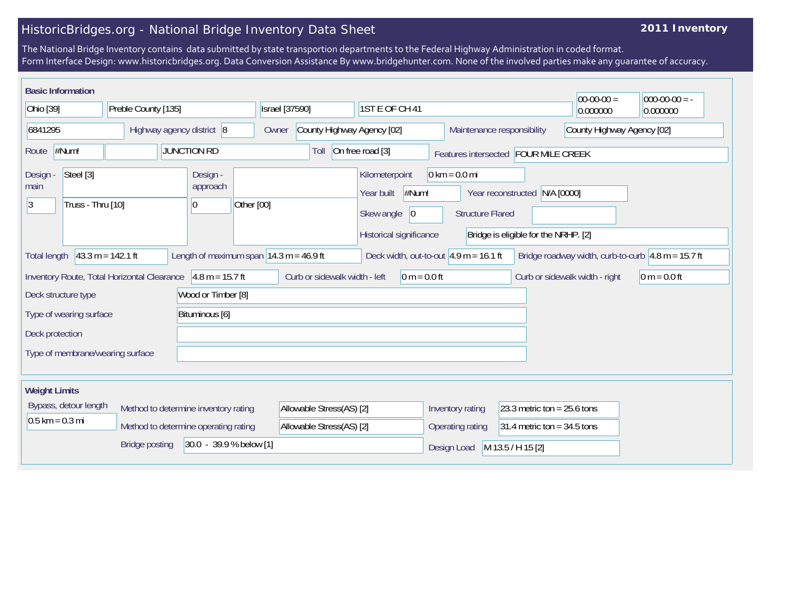## HistoricBridges.org - National Bridge Inventory Data Sheet

## **2011 Inventory**

The National Bridge Inventory contains data submitted by state transportion departments to the Federal Highway Administration in coded format. Form Interface Design: www.historicbridges.org. Data Conversion Assistance By www.bridgehunter.com. None of the involved parties make any guarantee of accuracy.

|                                                                                                               | <b>Basic Information</b> |                       |                           |                                                                                                                                                                                                                                      |                                                             |                            |                  |                                          |                                                          | $ 00-00-00 $                                                           | $ 000-00-00 $ = - |
|---------------------------------------------------------------------------------------------------------------|--------------------------|-----------------------|---------------------------|--------------------------------------------------------------------------------------------------------------------------------------------------------------------------------------------------------------------------------------|-------------------------------------------------------------|----------------------------|------------------|------------------------------------------|----------------------------------------------------------|------------------------------------------------------------------------|-------------------|
| Ohio [39]                                                                                                     |                          | Preble County [135]   |                           |                                                                                                                                                                                                                                      | <b>Israel</b> [37590]<br>1ST E OF CH 41                     |                            |                  |                                          | 0.000000                                                 | 0.000000                                                               |                   |
| 6841295                                                                                                       |                          |                       | Highway agency district 8 |                                                                                                                                                                                                                                      | Owner                                                       | County Highway Agency [02] |                  |                                          | County Highway Agency [02]<br>Maintenance responsibility |                                                                        |                   |
| Route                                                                                                         | #Num!                    |                       |                           | <b>JUNCTION RD</b>                                                                                                                                                                                                                   |                                                             | Toll                       | On free road [3] |                                          | Features intersected FOUR MILE CREEK                     |                                                                        |                   |
| Steel [3]<br>Design -<br>Design -<br>main<br>approach<br> 3 <br>Truss - Thru [10]<br>10                       |                          |                       | Other [00]                | $0 \text{ km} = 0.0 \text{ mi}$<br>Kilometerpoint<br>#Num!<br>Year built<br>Year reconstructed N/A [0000]<br>Skew angle<br>$ 0\rangle$<br><b>Structure Flared</b><br>Historical significance<br>Bridge is eligible for the NRHP. [2] |                                                             |                            |                  |                                          |                                                          |                                                                        |                   |
| <b>Total length</b>                                                                                           |                          | $43.3 m = 142.1 ft$   |                           |                                                                                                                                                                                                                                      | Length of maximum span $ 14.3 \text{ m} = 46.9 \text{ ft} $ |                            |                  | Deck width, out-to-out $4.9$ m = 16.1 ft |                                                          | Bridge roadway width, curb-to-curb $ 4.8 \text{ m} = 15.7 \text{ ft} $ |                   |
| $4.8 m = 15.7 ft$<br>Inventory Route, Total Horizontal Clearance<br>Wood or Timber [8]<br>Deck structure type |                          |                       |                           |                                                                                                                                                                                                                                      | Curb or sidewalk width - left<br>$0 m = 0.0 ft$             |                            |                  | Curb or sidewalk width - right           | $0 m = 0.0 ft$                                           |                                                                        |                   |
|                                                                                                               | Type of wearing surface  |                       |                           | Bituminous [6]                                                                                                                                                                                                                       |                                                             |                            |                  |                                          |                                                          |                                                                        |                   |
| Deck protection                                                                                               |                          |                       |                           |                                                                                                                                                                                                                                      |                                                             |                            |                  |                                          |                                                          |                                                                        |                   |
| Type of membrane/wearing surface                                                                              |                          |                       |                           |                                                                                                                                                                                                                                      |                                                             |                            |                  |                                          |                                                          |                                                                        |                   |
| <b>Weight Limits</b>                                                                                          |                          |                       |                           |                                                                                                                                                                                                                                      |                                                             |                            |                  |                                          |                                                          |                                                                        |                   |
|                                                                                                               | Bypass, detour length    |                       |                           | Method to determine inventory rating                                                                                                                                                                                                 |                                                             | Allowable Stress(AS) [2]   |                  | Inventory rating                         | 23.3 metric ton = $25.6$ tons                            |                                                                        |                   |
| $0.5$ km = 0.3 mi                                                                                             |                          |                       |                           | Method to determine operating rating                                                                                                                                                                                                 |                                                             | Allowable Stress(AS) [2]   |                  | Operating rating                         | 31.4 metric ton = $34.5$ tons                            |                                                                        |                   |
|                                                                                                               |                          | <b>Bridge posting</b> |                           | 30.0 - 39.9 % below [1]                                                                                                                                                                                                              |                                                             |                            |                  | Design Load                              | M 13.5 / H 15 [2]                                        |                                                                        |                   |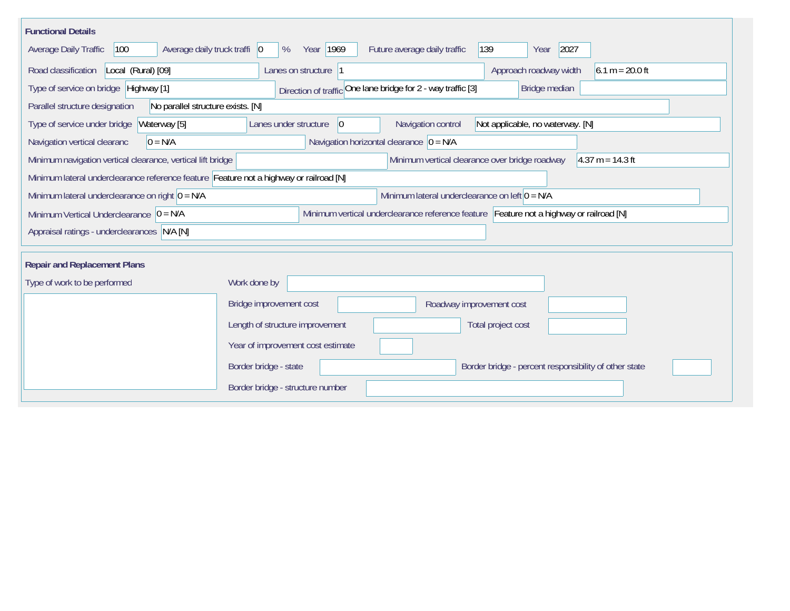| <b>Functional Details</b>                                                                                              |                                                                                         |  |  |  |  |  |  |  |
|------------------------------------------------------------------------------------------------------------------------|-----------------------------------------------------------------------------------------|--|--|--|--|--|--|--|
| 100<br>Average daily truck traffi   0<br>Average Daily Traffic                                                         | Year 1969<br>Future average daily traffic<br>139<br>2027<br>%<br>Year                   |  |  |  |  |  |  |  |
| Road classification<br>Local (Rural) [09]                                                                              | Approach roadway width<br>$6.1 m = 20.0 ft$<br>Lanes on structure  1                    |  |  |  |  |  |  |  |
| Direction of traffic One lane bridge for 2 - way traffic [3]<br>Type of service on bridge Highway [1]<br>Bridge median |                                                                                         |  |  |  |  |  |  |  |
| Parallel structure designation<br>No parallel structure exists. [N]                                                    |                                                                                         |  |  |  |  |  |  |  |
| Waterway [5]<br>Type of service under bridge                                                                           | Navigation control<br> 0 <br>Not applicable, no waterway. [N]<br>Lanes under structure  |  |  |  |  |  |  |  |
| $0 = N/A$<br>Navigation vertical clearanc                                                                              | Navigation horizontal clearance $ 0 = N/A $                                             |  |  |  |  |  |  |  |
| Minimum navigation vertical clearance, vertical lift bridge                                                            | Minimum vertical clearance over bridge roadway<br>$4.37 m = 14.3 ft$                    |  |  |  |  |  |  |  |
| Minimum lateral underclearance reference feature Feature not a highway or railroad [N]                                 |                                                                                         |  |  |  |  |  |  |  |
| Minimum lateral underclearance on right $0 = N/A$                                                                      | Minimum lateral underclearance on left $0 = N/A$                                        |  |  |  |  |  |  |  |
| Minimum Vertical Underclearance $ 0 = N/A$                                                                             | Minimum vertical underclearance reference feature Feature not a highway or railroad [N] |  |  |  |  |  |  |  |
| Appraisal ratings - underclearances N/A [N]                                                                            |                                                                                         |  |  |  |  |  |  |  |
|                                                                                                                        |                                                                                         |  |  |  |  |  |  |  |
| <b>Repair and Replacement Plans</b>                                                                                    |                                                                                         |  |  |  |  |  |  |  |
| Type of work to be performed                                                                                           | Work done by                                                                            |  |  |  |  |  |  |  |
|                                                                                                                        | Bridge improvement cost<br>Roadway improvement cost                                     |  |  |  |  |  |  |  |
|                                                                                                                        | Length of structure improvement<br>Total project cost                                   |  |  |  |  |  |  |  |
|                                                                                                                        | Year of improvement cost estimate                                                       |  |  |  |  |  |  |  |
|                                                                                                                        | Border bridge - state<br>Border bridge - percent responsibility of other state          |  |  |  |  |  |  |  |
|                                                                                                                        | Border bridge - structure number                                                        |  |  |  |  |  |  |  |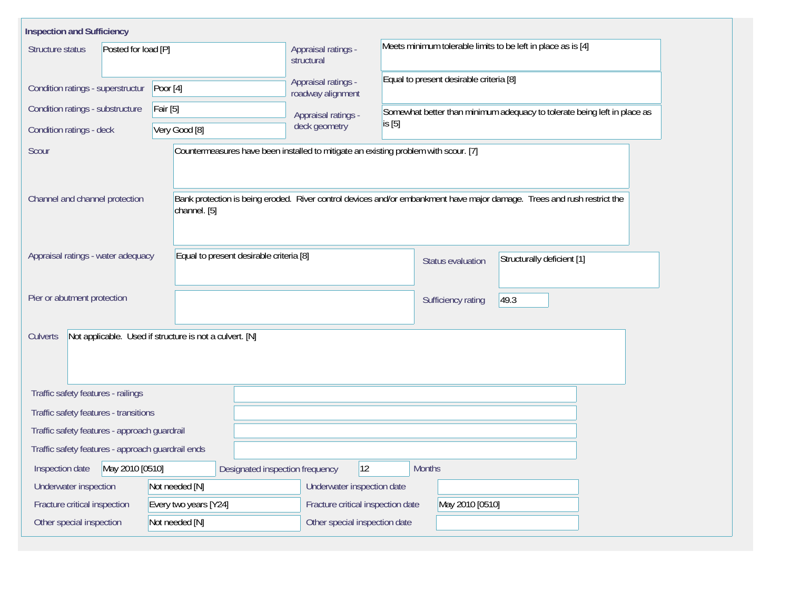| <b>Inspection and Sufficiency</b>                                   |                                         |                                          |                                                                                                                         |  |  |  |  |
|---------------------------------------------------------------------|-----------------------------------------|------------------------------------------|-------------------------------------------------------------------------------------------------------------------------|--|--|--|--|
| Posted for load [P]<br>Structure status                             |                                         | Appraisal ratings -<br>structural        | Meets minimum tolerable limits to be left in place as is [4]                                                            |  |  |  |  |
| Condition ratings - superstructur                                   | Poor $[4]$                              | Appraisal ratings -<br>roadway alignment | Equal to present desirable criteria [8]                                                                                 |  |  |  |  |
| Condition ratings - substructure                                    | Fair [5]                                | Appraisal ratings -                      | Somewhat better than minimum adequacy to tolerate being left in place as                                                |  |  |  |  |
| Condition ratings - deck                                            | Very Good [8]                           | deck geometry                            | is [5]                                                                                                                  |  |  |  |  |
| Scour                                                               |                                         |                                          | Countermeasures have been installed to mitigate an existing problem with scour. [7]                                     |  |  |  |  |
| Channel and channel protection                                      | channel. [5]                            |                                          | Bank protection is being eroded. River control devices and/or embankment have major damage. Trees and rush restrict the |  |  |  |  |
| Appraisal ratings - water adequacy                                  | Equal to present desirable criteria [8] |                                          | Structurally deficient [1]<br>Status evaluation                                                                         |  |  |  |  |
| Pier or abutment protection                                         |                                         |                                          | 49.3<br>Sufficiency rating                                                                                              |  |  |  |  |
| Not applicable. Used if structure is not a culvert. [N]<br>Culverts |                                         |                                          |                                                                                                                         |  |  |  |  |
| Traffic safety features - railings                                  |                                         |                                          |                                                                                                                         |  |  |  |  |
| Traffic safety features - transitions                               |                                         |                                          |                                                                                                                         |  |  |  |  |
| Traffic safety features - approach guardrail                        |                                         |                                          |                                                                                                                         |  |  |  |  |
| Traffic safety features - approach guardrail ends                   |                                         |                                          |                                                                                                                         |  |  |  |  |
| May 2010 [0510]<br>Inspection date                                  | Designated inspection frequency         | 12                                       | <b>Months</b>                                                                                                           |  |  |  |  |
| Underwater inspection                                               | Not needed [N]                          | Underwater inspection date               |                                                                                                                         |  |  |  |  |
| Fracture critical inspection                                        | Every two years [Y24]                   | Fracture critical inspection date        | May 2010 [0510]                                                                                                         |  |  |  |  |
| Other special inspection                                            | Not needed [N]                          | Other special inspection date            |                                                                                                                         |  |  |  |  |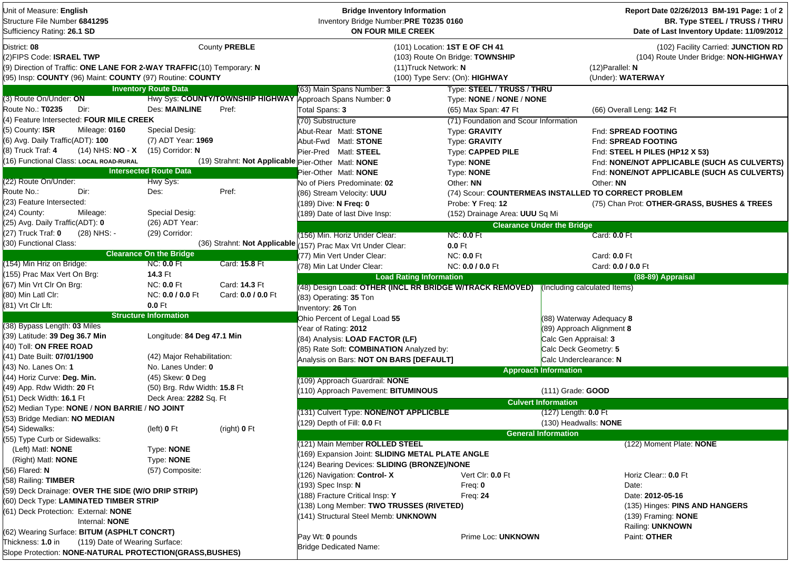| Unit of Measure: English<br>Structure File Number 6841295<br>Sufficiency Rating: 26.1 SD                                                                                        |                                |                                                    | <b>Bridge Inventory Information</b><br>Inventory Bridge Number:PRE T0235 0160<br>ON FOUR MILE CREEK |                                                                                                     |                                   | Report Date 02/26/2013 BM-191 Page: 1 of 2<br>BR. Type STEEL / TRUSS / THRU<br>Date of Last Inventory Update: 11/09/2012 |
|---------------------------------------------------------------------------------------------------------------------------------------------------------------------------------|--------------------------------|----------------------------------------------------|-----------------------------------------------------------------------------------------------------|-----------------------------------------------------------------------------------------------------|-----------------------------------|--------------------------------------------------------------------------------------------------------------------------|
| District: 08<br>(2)FIPS Code: ISRAEL TWP<br>(9) Direction of Traffic: ONE LANE FOR 2-WAY TRAFFIC (10) Temporary: N<br>(95) Insp: COUNTY (96) Maint: COUNTY (97) Routine: COUNTY |                                | County PREBLE                                      | (11) Truck Network: N                                                                               | (101) Location: 1ST E OF CH 41<br>(103) Route On Bridge: TOWNSHIP<br>(100) Type Serv: (On): HIGHWAY |                                   | (102) Facility Carried: JUNCTION RD<br>(104) Route Under Bridge: NON-HIGHWAY<br>$(12)$ Parallel: N<br>(Under): WATERWAY  |
|                                                                                                                                                                                 | <b>Inventory Route Data</b>    |                                                    | (63) Main Spans Number: 3                                                                           | Type: STEEL / TRUSS / THRU                                                                          |                                   |                                                                                                                          |
| (3) Route On/Under: ON                                                                                                                                                          |                                |                                                    | Hwy Sys: COUNTY/TOWNSHIP HIGHWAY Approach Spans Number: 0                                           | Type: NONE / NONE / NONE                                                                            |                                   |                                                                                                                          |
| Route No.: T0235<br>Dir:                                                                                                                                                        | Des: MAINLINE                  | Pref:                                              | Total Spans: 3                                                                                      | (65) Max Span: 47 Ft                                                                                |                                   | (66) Overall Leng: 142 Ft                                                                                                |
| (4) Feature Intersected: FOUR MILE CREEK                                                                                                                                        |                                |                                                    | (70) Substructure                                                                                   | (71) Foundation and Scour Information                                                               |                                   |                                                                                                                          |
| (5) County: ISR<br>Mileage: 0160                                                                                                                                                | Special Desig:                 |                                                    | Abut-Rear Matl: STONE                                                                               | Type: GRAVITY                                                                                       |                                   | Fnd: SPREAD FOOTING                                                                                                      |
| (6) Avg. Daily Traffic(ADT): 100                                                                                                                                                | (7) ADT Year: 1969             |                                                    | Abut-Fwd Matl: STONE                                                                                | Type: GRAVITY                                                                                       |                                   | Fnd: SPREAD FOOTING                                                                                                      |
| (8) Truck Traf: 4<br>$(14)$ NHS: NO - X                                                                                                                                         | $(15)$ Corridor: N             |                                                    | Pier-Pred Matl: STEEL                                                                               | Type: CAPPED PILE                                                                                   |                                   | Fnd: STEEL H PILES (HP12 X 53)                                                                                           |
| (16) Functional Class: LOCAL ROAD-RURAL                                                                                                                                         |                                | (19) Strahnt: Not Applicable Pier-Other Matl: NONE |                                                                                                     | Type: NONE                                                                                          |                                   | Fnd: NONE/NOT APPLICABLE (SUCH AS CULVERTS)                                                                              |
|                                                                                                                                                                                 | <b>Intersected Route Data</b>  |                                                    | Pier-Other Matl: NONE                                                                               | Type: NONE                                                                                          |                                   | Fnd: NONE/NOT APPLICABLE (SUCH AS CULVERTS)                                                                              |
| (22) Route On/Under:                                                                                                                                                            | Hwy Sys:                       |                                                    | No of Piers Predominate: 02                                                                         | Other: NN                                                                                           | Other: NN                         |                                                                                                                          |
| Route No.:<br>Dir:                                                                                                                                                              | Des:                           | Pref:                                              | (86) Stream Velocity: UUU                                                                           | (74) Scour: COUNTERMEAS INSTALLED TO CORRECT PROBLEM                                                |                                   |                                                                                                                          |
| (23) Feature Intersected:                                                                                                                                                       |                                |                                                    | 189) Dive: N Freq: 0                                                                                | Probe: Y Freq: 12                                                                                   |                                   | (75) Chan Prot: OTHER-GRASS, BUSHES & TREES                                                                              |
| (24) County:<br>Mileage:                                                                                                                                                        | <b>Special Desig:</b>          |                                                    | 189) Date of last Dive Insp:                                                                        | (152) Drainage Area: UUU Sq Mi                                                                      |                                   |                                                                                                                          |
| (25) Avg. Daily Traffic(ADT): 0                                                                                                                                                 | (26) ADT Year:                 |                                                    |                                                                                                     |                                                                                                     | <b>Clearance Under the Bridge</b> |                                                                                                                          |
| (27) Truck Traf: 0<br>(28) NHS: -                                                                                                                                               | (29) Corridor:                 |                                                    | (156) Min. Horiz Under Clear:                                                                       | <b>NC: 0.0 Ft</b>                                                                                   |                                   | Card: 0.0 Ft                                                                                                             |
| (30) Functional Class:                                                                                                                                                          |                                | (36) Strahnt: Not Applicable                       | 157) Prac Max Vrt Under Clear:                                                                      | $0.0$ Ft                                                                                            |                                   |                                                                                                                          |
|                                                                                                                                                                                 | <b>Clearance On the Bridge</b> |                                                    | (77) Min Vert Under Clear:                                                                          | <b>NC: 0.0 Ft</b>                                                                                   |                                   | Card: 0.0 Ft                                                                                                             |
| (154) Min Hriz on Bridge:                                                                                                                                                       | <b>NC: 0.0 Ft</b>              | Card: 15.8 Ft                                      | (78) Min Lat Under Clear:                                                                           | NC: 0.0 / 0.0 Ft                                                                                    |                                   | Card: 0.0 / 0.0 Ft                                                                                                       |
| (155) Prac Max Vert On Brg:                                                                                                                                                     | 14.3 Ft                        |                                                    | <b>Load Rating Information</b>                                                                      |                                                                                                     |                                   | (88-89) Appraisal                                                                                                        |
| (67) Min Vrt Clr On Brg:                                                                                                                                                        | <b>NC: 0.0 Ft</b>              | Card: 14.3 Ft                                      | (48) Design Load: OTHER (INCL RR BRIDGE W/TRACK REMOVED) (Including calculated Items)               |                                                                                                     |                                   |                                                                                                                          |
| (80) Min Latl Clr:                                                                                                                                                              | NC: 0.0 / 0.0 Ft               | Card: 0.0 / 0.0 Ft                                 | (83) Operating: 35 Ton                                                                              |                                                                                                     |                                   |                                                                                                                          |
| (81) Vrt Clr Lft:                                                                                                                                                               | $0.0$ Ft                       |                                                    | Inventory: 26 Ton                                                                                   |                                                                                                     |                                   |                                                                                                                          |
|                                                                                                                                                                                 | <b>Structure Information</b>   |                                                    | Ohio Percent of Legal Load 55                                                                       |                                                                                                     | (88) Waterway Adequacy 8          |                                                                                                                          |
| (38) Bypass Length: 03 Miles                                                                                                                                                    |                                |                                                    | Year of Rating: 2012                                                                                |                                                                                                     | (89) Approach Alignment 8         |                                                                                                                          |
| (39) Latitude: 39 Deg 36.7 Min                                                                                                                                                  | Longitude: 84 Deg 47.1 Min     |                                                    | (84) Analysis: LOAD FACTOR (LF)                                                                     |                                                                                                     | Calc Gen Appraisal: 3             |                                                                                                                          |
| (40) Toll: ON FREE ROAD                                                                                                                                                         |                                |                                                    | (85) Rate Soft: COMBINATION Analyzed by:                                                            |                                                                                                     | Calc Deck Geometry: 5             |                                                                                                                          |
| (41) Date Built: 07/01/1900                                                                                                                                                     | (42) Major Rehabilitation:     |                                                    | Analysis on Bars: NOT ON BARS [DEFAULT]                                                             |                                                                                                     | Calc Underclearance: N            |                                                                                                                          |
| (43) No. Lanes On: 1                                                                                                                                                            | No. Lanes Under: 0             |                                                    |                                                                                                     |                                                                                                     | <b>Approach Information</b>       |                                                                                                                          |
| (44) Horiz Curve: Deg. Min.                                                                                                                                                     | (45) Skew: 0 Deg               |                                                    | (109) Approach Guardrail: NONE                                                                      |                                                                                                     |                                   |                                                                                                                          |
| (49) App. Rdw Width: 20 Ft                                                                                                                                                      | (50) Brg. Rdw Width: 15.8 Ft   |                                                    | 110) Approach Pavement: BITUMINOUS                                                                  |                                                                                                     | (111) Grade: GOOD                 |                                                                                                                          |
| (51) Deck Width: 16.1 Ft                                                                                                                                                        | Deck Area: 2282 Sq. Ft         |                                                    | <b>Culvert Information</b>                                                                          |                                                                                                     |                                   |                                                                                                                          |
| (52) Median Type: NONE / NON BARRIE / NO JOINT                                                                                                                                  |                                |                                                    | (131) Culvert Type: NONE/NOT APPLICBLE                                                              |                                                                                                     | $(127)$ Length: $0.0$ Ft          |                                                                                                                          |
| (53) Bridge Median: NO MEDIAN                                                                                                                                                   |                                |                                                    | 129) Depth of Fill: <b>0.0</b> Ft                                                                   |                                                                                                     | (130) Headwalls: NONE             |                                                                                                                          |
| (54) Sidewalks:                                                                                                                                                                 | (left) 0 Ft                    | (right) 0 Ft                                       |                                                                                                     |                                                                                                     | <b>General Information</b>        |                                                                                                                          |
| (55) Type Curb or Sidewalks:                                                                                                                                                    |                                |                                                    | (121) Main Member ROLLED STEEL                                                                      |                                                                                                     |                                   | (122) Moment Plate: NONE                                                                                                 |
| (Left) Matl: <b>NONE</b>                                                                                                                                                        | Type: NONE                     |                                                    | (169) Expansion Joint: SLIDING METAL PLATE ANGLE                                                    |                                                                                                     |                                   |                                                                                                                          |
| (Right) Matl: <b>NONE</b>                                                                                                                                                       | Type: NONE                     |                                                    | 124) Bearing Devices: SLIDING (BRONZE)/NONE                                                         |                                                                                                     |                                   |                                                                                                                          |
| (56) Flared: N                                                                                                                                                                  | (57) Composite:                |                                                    | (126) Navigation: Control-X                                                                         | Vert Cir: 0.0 Ft                                                                                    |                                   | Horiz Clear:: 0.0 Ft                                                                                                     |
| (58) Railing: TIMBER                                                                                                                                                            |                                |                                                    | 193) Spec Insp: N                                                                                   | Freq: $0$                                                                                           |                                   | Date:                                                                                                                    |
| (59) Deck Drainage: OVER THE SIDE (W/O DRIP STRIP)                                                                                                                              |                                |                                                    | 188) Fracture Critical Insp: Y<br>Freq: $24$                                                        |                                                                                                     |                                   | Date: 2012-05-16                                                                                                         |
| (60) Deck Type: LAMINATED TIMBER STRIP                                                                                                                                          |                                |                                                    | 138) Long Member: TWO TRUSSES (RIVETED)                                                             |                                                                                                     |                                   | (135) Hinges: PINS AND HANGERS                                                                                           |
| (61) Deck Protection: External: NONE                                                                                                                                            |                                |                                                    | 141) Structural Steel Memb: UNKNOWN                                                                 |                                                                                                     |                                   | (139) Framing: <b>NONE</b>                                                                                               |
| Internal: NONE                                                                                                                                                                  |                                |                                                    |                                                                                                     |                                                                                                     |                                   | Railing: UNKNOWN                                                                                                         |
| (62) Wearing Surface: BITUM (ASPHLT CONCRT)                                                                                                                                     |                                |                                                    | Pay Wt: 0 pounds                                                                                    |                                                                                                     | Paint: OTHER                      |                                                                                                                          |
| Thickness: 1.0 in<br>(119) Date of Wearing Surface:                                                                                                                             |                                |                                                    | <b>Bridge Dedicated Name:</b>                                                                       | Prime Loc: UNKNOWN                                                                                  |                                   |                                                                                                                          |
| Slope Protection: NONE-NATURAL PROTECTION(GRASS, BUSHES)                                                                                                                        |                                |                                                    |                                                                                                     |                                                                                                     |                                   |                                                                                                                          |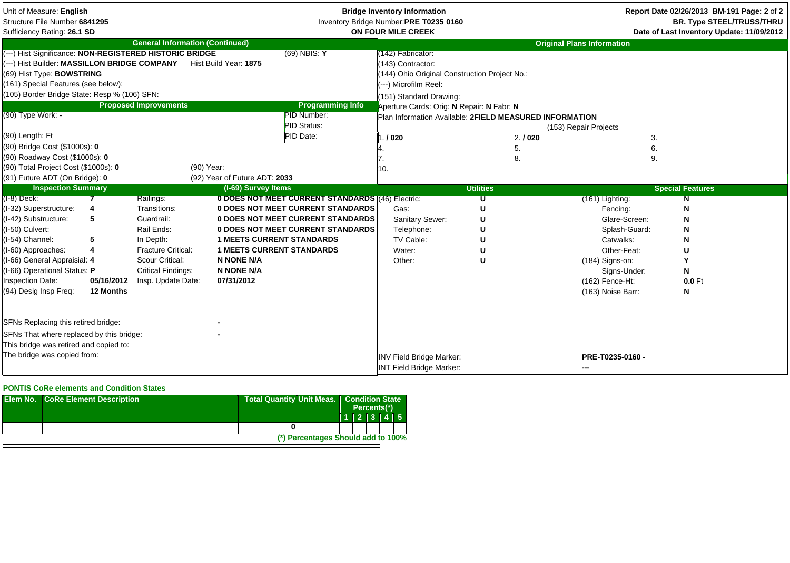| Unit of Measure: English<br>Structure File Number 6841295<br>Sufficiency Rating: 26.1 SD                                                                                                                                                                                                                                                     |                                        |                                                                                                                                                         |                                                                                                                              |                                                                                                                                                                                      | <b>Bridge Inventory Information</b><br>Inventory Bridge Number: PRE T0235 0160<br>ON FOUR MILE CREEK                                                                                                                                                     |                    | Report Date 02/26/2013 BM-191 Page: 2 of 2<br><b>BR. Type STEEL/TRUSS/THRU</b><br>Date of Last Inventory Update: 11/09/2012                                          |                                        |
|----------------------------------------------------------------------------------------------------------------------------------------------------------------------------------------------------------------------------------------------------------------------------------------------------------------------------------------------|----------------------------------------|---------------------------------------------------------------------------------------------------------------------------------------------------------|------------------------------------------------------------------------------------------------------------------------------|--------------------------------------------------------------------------------------------------------------------------------------------------------------------------------------|----------------------------------------------------------------------------------------------------------------------------------------------------------------------------------------------------------------------------------------------------------|--------------------|----------------------------------------------------------------------------------------------------------------------------------------------------------------------|----------------------------------------|
|                                                                                                                                                                                                                                                                                                                                              |                                        | <b>General Information (Continued)</b>                                                                                                                  |                                                                                                                              |                                                                                                                                                                                      |                                                                                                                                                                                                                                                          |                    | <b>Original Plans Information</b>                                                                                                                                    |                                        |
| (---) Hist Significance: NON-REGISTERED HISTORIC BRIDGE<br>---) Hist Builder: MASSILLON BRIDGE COMPANY<br>(69) Hist Type: <b>BOWSTRING</b><br>(161) Special Features (see below):<br>(105) Border Bridge State: Resp % (106) SFN:<br>(90) Type Work: -<br>(90) Length: Ft<br>(90) Bridge Cost (\$1000s): 0<br>(90) Roadway Cost (\$1000s): 0 |                                        | <b>Proposed Improvements</b>                                                                                                                            | Hist Build Year: 1875                                                                                                        | $(69)$ NBIS: Y<br><b>Programming Info</b><br>PID Number:<br>PID Status:<br>PID Date:                                                                                                 | (142) Fabricator:<br>143) Contractor:<br>144) Ohio Original Construction Project No.:<br>---) Microfilm Reel:<br>151) Standard Drawing:<br>Aperture Cards: Orig: N Repair: N Fabr: N<br>Plan Information Available: 2FIELD MEASURED INFORMATION<br>.1020 | 2.1020<br>5.<br>8. | (153) Repair Projects<br>3.<br>6.<br>9.                                                                                                                              |                                        |
| (90) Total Project Cost (\$1000s): 0                                                                                                                                                                                                                                                                                                         |                                        | (90) Year:                                                                                                                                              |                                                                                                                              |                                                                                                                                                                                      | ۱٥.                                                                                                                                                                                                                                                      |                    |                                                                                                                                                                      |                                        |
| (91) Future ADT (On Bridge): 0                                                                                                                                                                                                                                                                                                               |                                        |                                                                                                                                                         | (92) Year of Future ADT: 2033                                                                                                |                                                                                                                                                                                      |                                                                                                                                                                                                                                                          |                    |                                                                                                                                                                      |                                        |
| <b>Inspection Summary</b>                                                                                                                                                                                                                                                                                                                    |                                        |                                                                                                                                                         | (I-69) Survey Items                                                                                                          |                                                                                                                                                                                      |                                                                                                                                                                                                                                                          | <b>Utilities</b>   |                                                                                                                                                                      | <b>Special Features</b>                |
| $(I-8)$ Deck:<br>(I-32) Superstructure:<br>(I-42) Substructure:<br>(I-50) Culvert:<br>(I-54) Channel:<br>(I-60) Approaches:<br>(I-66) General Appraisial: 4<br>(I-66) Operational Status: P<br><b>Inspection Date:</b><br>(94) Desig Insp Freq:                                                                                              | 5<br>5<br>4<br>05/16/2012<br>12 Months | Railings:<br>Transitions:<br>Guardrail:<br>Rail Ends:<br>In Depth:<br>Fracture Critical:<br>Scour Critical:<br>Critical Findings:<br>Insp. Update Date: | <b>1 MEETS CURRENT STANDARDS</b><br><b>1 MEETS CURRENT STANDARDS</b><br><b>N NONE N/A</b><br><b>N NONE N/A</b><br>07/31/2012 | 0 DOES NOT MEET CURRENT STANDARDS (46) Electric:<br><b>0 DOES NOT MEET CURRENT STANDARDS</b><br><b>0 DOES NOT MEET CURRENT STANDARDS</b><br><b>0 DOES NOT MEET CURRENT STANDARDS</b> | Gas:<br>Sanitary Sewer:<br>Telephone:<br>TV Cable:<br>Water:<br>Other:                                                                                                                                                                                   | U                  | (161) Lighting:<br>Fencing:<br>Glare-Screen:<br>Splash-Guard:<br>Catwalks:<br>Other-Feat:<br>(184) Signs-on:<br>Signs-Under:<br>(162) Fence-Ht:<br>(163) Noise Barr: | N<br>N<br>U<br>Υ<br>N<br>$0.0$ Ft<br>N |
| SFNs Replacing this retired bridge:<br>SFNs That where replaced by this bridge:<br>This bridge was retired and copied to:<br>The bridge was copied from:                                                                                                                                                                                     |                                        |                                                                                                                                                         |                                                                                                                              |                                                                                                                                                                                      | <b>INV Field Bridge Marker:</b><br><b>INT Field Bridge Marker:</b>                                                                                                                                                                                       |                    | PRE-T0235-0160 -<br>---                                                                                                                                              |                                        |

## **PONTIS CoRe elements and Condition States**

| <b>Elem No. CoRe Element Description</b> | Total Quantity Unit Meas.   Condition State | Percents(*) |                     |  |  |
|------------------------------------------|---------------------------------------------|-------------|---------------------|--|--|
|                                          |                                             |             | $1$   2   3   4   5 |  |  |
|                                          |                                             |             |                     |  |  |
|                                          | (*) Percentages Should add to 100%          |             |                     |  |  |
|                                          |                                             |             |                     |  |  |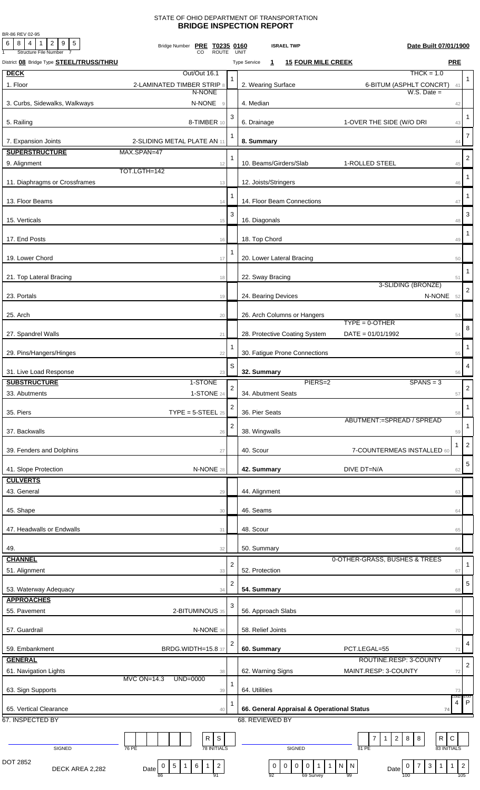## STATE OF OHIO DEPARTMENT OF TRANSPORTATION **BRIDGE INSPECTION REPORT**

BR-86 REV 02-95

| 6<br>$8$   4   1  <br>$2 \mid 9 \mid 5$<br><b>Structure File Number</b> | Bridge Number PRE T0235 0160<br><b>ROUTE</b>                                         |                         | Date Built 07/01/1900<br><b>ISRAEL TWP</b><br><b>UNIT</b>                                                  |                |
|-------------------------------------------------------------------------|--------------------------------------------------------------------------------------|-------------------------|------------------------------------------------------------------------------------------------------------|----------------|
| District 08 Bridge Type <b>STEEL/TRUSS/THRU</b>                         |                                                                                      |                         | <b>PRE</b><br><b>15 FOUR MILE CREEK</b><br><b>Type Service</b><br>$\mathbf{1}$                             |                |
| <b>DECK</b>                                                             | Out/Out 16.1                                                                         |                         | $THCK = 1.0$                                                                                               |                |
| 1. Floor                                                                | 2-LAMINATED TIMBER STRIP 8                                                           |                         | 2. Wearing Surface<br>6-BITUM (ASPHLT CONCRT) 41                                                           | 1              |
|                                                                         | N-NONE                                                                               |                         | $W.S.$ Date $=$                                                                                            |                |
| 3. Curbs, Sidewalks, Walkways                                           | N-NONE<br>$\mathcal G$                                                               |                         | 4. Median<br>42                                                                                            |                |
|                                                                         |                                                                                      | 3                       |                                                                                                            | $\mathbf{1}$   |
| 5. Railing                                                              | 8-TIMBER 10                                                                          |                         | 6. Drainage<br>1-OVER THE SIDE (W/O DRI<br>43                                                              |                |
| 7. Expansion Joints                                                     | 2-SLIDING METAL PLATE AN 11                                                          | 1                       | 8. Summary<br>44                                                                                           | $\overline{7}$ |
| <b>SUPERSTRUCTURE</b>                                                   | MAX.SPAN=47                                                                          |                         |                                                                                                            |                |
| 9. Alignment                                                            | 12                                                                                   | 1                       | 10. Beams/Girders/Slab<br>1-ROLLED STEEL<br>45                                                             | $\overline{2}$ |
|                                                                         | TOT.LGTH=142                                                                         |                         |                                                                                                            | $\mathbf{1}$   |
| 11. Diaphragms or Crossframes                                           | 13                                                                                   |                         | 12. Joists/Stringers<br>46                                                                                 |                |
|                                                                         |                                                                                      |                         |                                                                                                            | -1             |
| 13. Floor Beams                                                         | 14                                                                                   |                         | 14. Floor Beam Connections<br>47                                                                           |                |
| 15. Verticals                                                           | 15                                                                                   | 3                       | 16. Diagonals<br>48                                                                                        | 3              |
|                                                                         |                                                                                      |                         |                                                                                                            | -1             |
| 17. End Posts                                                           | 16                                                                                   |                         | 18. Top Chord<br>49                                                                                        |                |
|                                                                         |                                                                                      | 1                       |                                                                                                            |                |
| 19. Lower Chord                                                         | 17                                                                                   |                         | 20. Lower Lateral Bracing<br>50                                                                            |                |
| 21. Top Lateral Bracing                                                 | 18                                                                                   |                         | 22. Sway Bracing<br>51                                                                                     | $\mathbf{1}$   |
|                                                                         |                                                                                      |                         | 3-SLIDING (BRONZE)                                                                                         | $\overline{2}$ |
| 23. Portals                                                             | 19                                                                                   |                         | N-NONE 52<br>24. Bearing Devices                                                                           |                |
|                                                                         |                                                                                      |                         |                                                                                                            |                |
| 25. Arch                                                                | 20                                                                                   |                         | 26. Arch Columns or Hangers<br>53<br>$TYPE = 0$ -OTHER                                                     |                |
| 27. Spandrel Walls                                                      | 21                                                                                   |                         | 28. Protective Coating System<br>$DATA = 01/01/1992$<br>54                                                 | 8              |
|                                                                         |                                                                                      |                         |                                                                                                            |                |
| 29. Pins/Hangers/Hinges                                                 | 22                                                                                   |                         | 30. Fatigue Prone Connections<br>55                                                                        | $\mathbf{1}$   |
|                                                                         |                                                                                      | S                       |                                                                                                            | $\overline{4}$ |
| 31. Live Load Response                                                  | 23                                                                                   |                         | 32. Summary<br>56                                                                                          |                |
| <b>SUBSTRUCTURE</b>                                                     | 1-STONE                                                                              | $\overline{a}$          | PIERS=2<br>$SPANS = 3$                                                                                     | $\sqrt{2}$     |
| 33. Abutments                                                           | 1-STONE 24                                                                           |                         | 34. Abutment Seats<br>57                                                                                   |                |
| 35. Piers                                                               | $\text{TYPE} = 5\text{-} \text{STEEL}$ 25                                            | 2                       | 36. Pier Seats<br>58                                                                                       | $\mathbf{1}$   |
|                                                                         |                                                                                      |                         | ABUTMENT:=SPREAD / SPREAD                                                                                  |                |
| 37. Backwalls                                                           | 26                                                                                   | $\overline{2}$          | 38. Wingwalls<br>59                                                                                        | 1              |
|                                                                         |                                                                                      |                         | -1                                                                                                         | $\overline{2}$ |
| 39. Fenders and Dolphins                                                | 27                                                                                   |                         | 40. Scour<br>7-COUNTERMEAS INSTALLED 60                                                                    |                |
| 41. Slope Protection                                                    | N-NONE 28                                                                            |                         | 42. Summary<br>DIVE DT=N/A<br>62                                                                           | 5              |
| <b>CULVERTS</b>                                                         |                                                                                      |                         |                                                                                                            |                |
| 43. General                                                             | 29                                                                                   |                         | 44. Alignment<br>63                                                                                        |                |
|                                                                         |                                                                                      |                         |                                                                                                            |                |
| 45. Shape                                                               | 30                                                                                   |                         | 46. Seams<br>64                                                                                            |                |
|                                                                         |                                                                                      |                         |                                                                                                            |                |
| 47. Headwalls or Endwalls                                               | 31                                                                                   |                         | 48. Scour<br>65                                                                                            |                |
| 49.                                                                     | 32                                                                                   |                         | 50. Summary<br>66                                                                                          |                |
| <b>CHANNEL</b>                                                          |                                                                                      |                         | 0-OTHER-GRASS, BUSHES & TREES                                                                              |                |
| 51. Alignment                                                           | 33                                                                                   | $\overline{2}$          | 52. Protection<br>67                                                                                       | 1              |
|                                                                         |                                                                                      | $\overline{\mathbf{c}}$ |                                                                                                            | 5              |
| 53. Waterway Adequacy                                                   | 34                                                                                   |                         | 54. Summary<br>68                                                                                          |                |
| <b>APPROACHES</b>                                                       |                                                                                      | 3                       |                                                                                                            |                |
| 55. Pavement                                                            | 2-BITUMINOUS 35                                                                      |                         | 56. Approach Slabs<br>69                                                                                   |                |
|                                                                         |                                                                                      |                         |                                                                                                            |                |
| 57. Guardrail                                                           | N-NONE 36                                                                            |                         | 58. Relief Joints<br>70                                                                                    |                |
| 59. Embankment                                                          | <b>BRDG.WIDTH=15.8 37</b>                                                            | 2                       | 60. Summary<br>PCT.LEGAL=55<br>71                                                                          | 4              |
| <b>GENERAL</b>                                                          |                                                                                      |                         | ROUTINE.RESP: 3-COUNTY                                                                                     |                |
| 61. Navigation Lights                                                   | 38                                                                                   |                         | 62. Warning Signs<br>MAINT.RESP: 3-COUNTY<br>72                                                            | $\overline{2}$ |
|                                                                         | MVC ON=14.3<br>UND=0000                                                              | 1                       |                                                                                                            |                |
| 63. Sign Supports                                                       | 39                                                                                   |                         | 64. Utilities<br>73                                                                                        |                |
|                                                                         |                                                                                      |                         | COND:<br>4                                                                                                 | STAT<br>P      |
| 65. Vertical Clearance<br>67. INSPECTED BY                              | 40                                                                                   |                         | 66. General Appraisal & Operational Status<br>74<br>68. REVIEWED BY                                        |                |
|                                                                         |                                                                                      |                         |                                                                                                            |                |
|                                                                         | S<br>R                                                                               |                         | R<br>$\mathsf C$<br>$\overline{7}$<br>$2 \mid 8$<br>8<br>$\mathbf{1}$                                      |                |
| SIGNED                                                                  | <b>78 INITIALS</b><br>76 PE                                                          |                         | 83 INITIALS<br>SIGNED<br>81 PE                                                                             |                |
| DOT 2852                                                                | $\overline{c}$<br>$6 \mid$<br>$\mathbf{1}$<br>$5\phantom{.0}$<br>0<br>$\overline{1}$ |                         | $\mathbf 0$<br>$\boldsymbol{0}$<br>$\mathbf{3}$<br>$\mathbf 0$                                             |                |
| DECK AREA 2,282                                                         |                                                                                      |                         | $\overline{1}$<br>$\mathbf 0$<br>$\overline{1}$<br>$\mathbf{1}$<br>N   N<br>$\mathbf{1}$<br>7<br>0<br>Date | $\overline{2}$ |